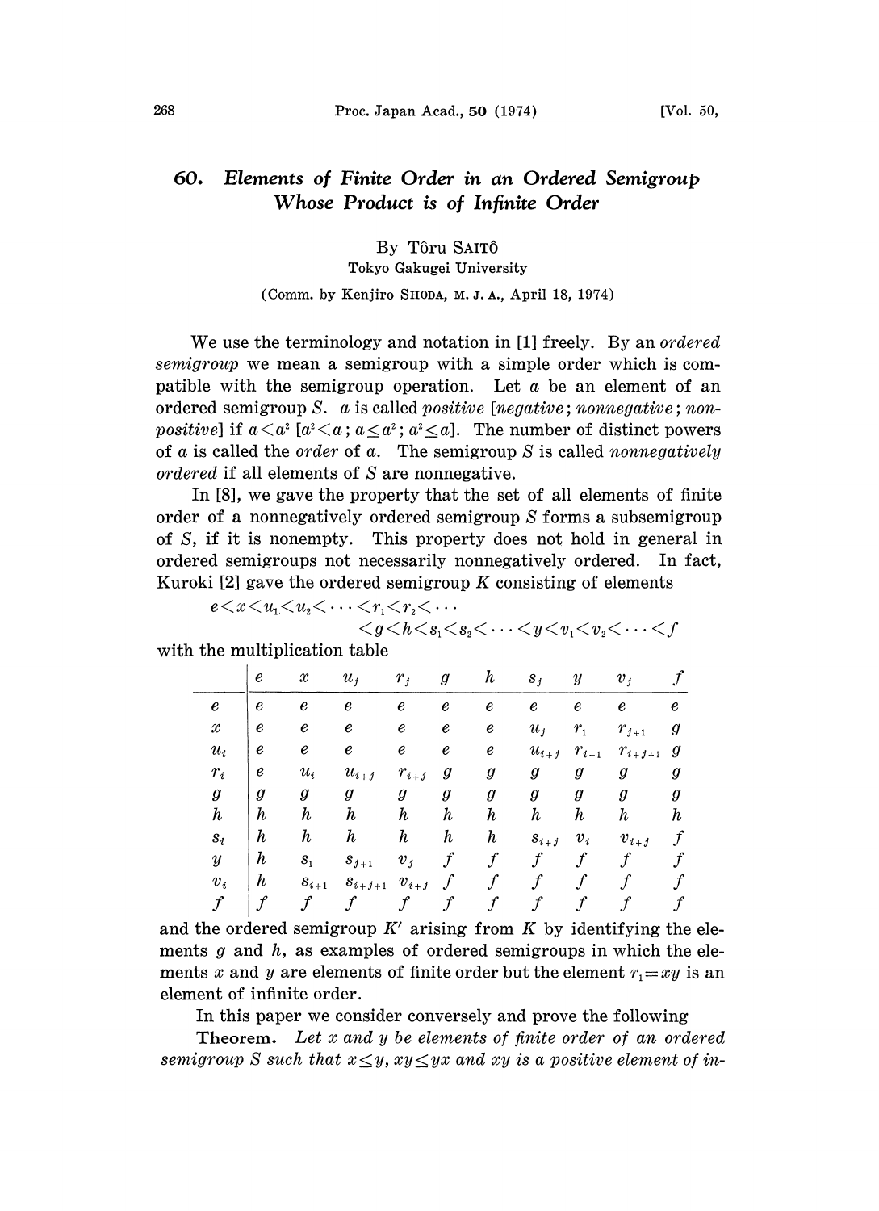## Elements of Finite Order in an Ordered Semigroup 60. Whose Product is of Infinite Order

## By Tôru SAITÔ

Tokyo Gakugei University

## (Comm. by Kenjiro SHODA, M. J. A., April 18, 1974)

We use the terminology and notation in [1] freely. By an *ordered* semigroup we mean a semigroup with a simple order which is compatible with the semigroup operation. Let  $\alpha$  be an element of an ordered semigroup S.  $\alpha$  is called *positive* [*negative*; *nonnegative*; *non*patible with the semigroup operation. Let *a* be an element of an ordered semigroup *S*. *a* is called *positive* [*negative*; *nonnegative*; *non-positive*] if  $a < a^2$  [ $a^2 < a$ ;  $a \le a^2$ ;  $a^2 \le a$ ]. The number of disti of  $\alpha$  is called the *order* of  $\alpha$ . The semigroup  $S$  is called *nonnegatively* ordered if all elements of S are nonnegative.

In [8], we gave the property that the set of all elements of finite order of a nonnegatively ordered semigroup S forms a subsemigroup of S, if it is nonempty. This property does not hold in general in ordered semigroups not necessarily nonnegatively ordered. In fact, Kuroki [2] gave the ordered semigroup K consisting of elements<br>  $e < x < u_1 < u_2 < \cdots < r_1 < r_2 < \cdots$ 

$$
e < x < u_1 < u_2 < \cdots < r_1 < r_2 < \cdots
$$

 $\langle g \langle h \langle s_1 \langle s_2 \langle \cdots \langle y \langle v_1 \langle v_2 \langle \cdots \langle f \rangle \rangle) \rangle \rangle$ 

|  |  | with the multiplication table |  |  |  |
|--|--|-------------------------------|--|--|--|
|--|--|-------------------------------|--|--|--|

|                     | e                | $\mathcal X$     | $u_i$            | $r_{j}$          | g                | $\boldsymbol{h}$    | $s_j$            | $\boldsymbol{y}$ | $v_i$            |                  |
|---------------------|------------------|------------------|------------------|------------------|------------------|---------------------|------------------|------------------|------------------|------------------|
| e                   | $\boldsymbol{e}$ | $\pmb{e}$        | e                | e                | $\pmb{e}$        | $\pmb{e}$           | $\pmb{e}$        | $\pmb{e}$        | e                | e                |
| $\mathcal{X}% _{0}$ | e                | e                | e                | e                | $\it e$          | $\pmb{e}$           | $u_i$            | $r_{1}$          | $r_{j+1}$        | g                |
| $u_i$               | e                | e                | e                | e                | $\pmb{e}$        | e                   | $u_{i+j}$        | $r_{i+1}$        | $r_{i+j+1}$      | g                |
| $r_i$               | e                | $u_i$            | $u_{i+j}$        | $r_{i+j}$        | g                | g                   | g                | g                | g                | g                |
| $\boldsymbol{g}$    | $\boldsymbol{g}$ | $\boldsymbol{g}$ | g                | $\boldsymbol{g}$ | g                | $\pmb{g}$           | $\pmb{g}$        | $\boldsymbol{g}$ | g                | $\pmb g$         |
| $\boldsymbol{h}$    | $\boldsymbol{h}$ | $\boldsymbol{h}$ | $\boldsymbol{h}$ | $\boldsymbol{h}$ | $\boldsymbol{h}$ | $\boldsymbol{h}$    | $\boldsymbol{h}$ | $\boldsymbol{h}$ | $\boldsymbol{h}$ | h                |
| $s_i$               | $\boldsymbol{h}$ | $\boldsymbol{h}$ | $\boldsymbol{h}$ | $\boldsymbol{h}$ | $\boldsymbol{h}$ | $\boldsymbol{h}$    | $s_{i+j}$        | $v_i$            | $v_{i+j}$        | $\boldsymbol{f}$ |
| $\boldsymbol{y}$    | h                | $s_{1}$          | $s_{j+1}$        | $v_j$            | $\mathcal{f}$    | $\mathcal f$        | $\mathcal{f}$    | $f\$             |                  |                  |
| $v_i$               | $\boldsymbol{h}$ | $s_{i+1}$        | $s_{i+j+1}$      | $v_{i+j}$        | $\int$           | $\mathcal{f}% _{0}$ | $\mathcal f$     | f                |                  |                  |
|                     |                  |                  |                  |                  |                  | $\mathcal f$        |                  |                  |                  |                  |

and the ordered semigroup  $K'$  arising from  $K$  by identifying the elements g and  $h$ , as examples of ordered semigroups in which the elements x and y are elements of finite order but the element  $r_1 = xy$  is an element of infinite order.

In this paper we consider conversely and prove the following

**Theorem.** Let  $x$  and  $y$  be elements of finite order of an ordered semigroup S such that  $x \leq y$ ,  $xy \leq yx$  and  $xy$  is a positive element of in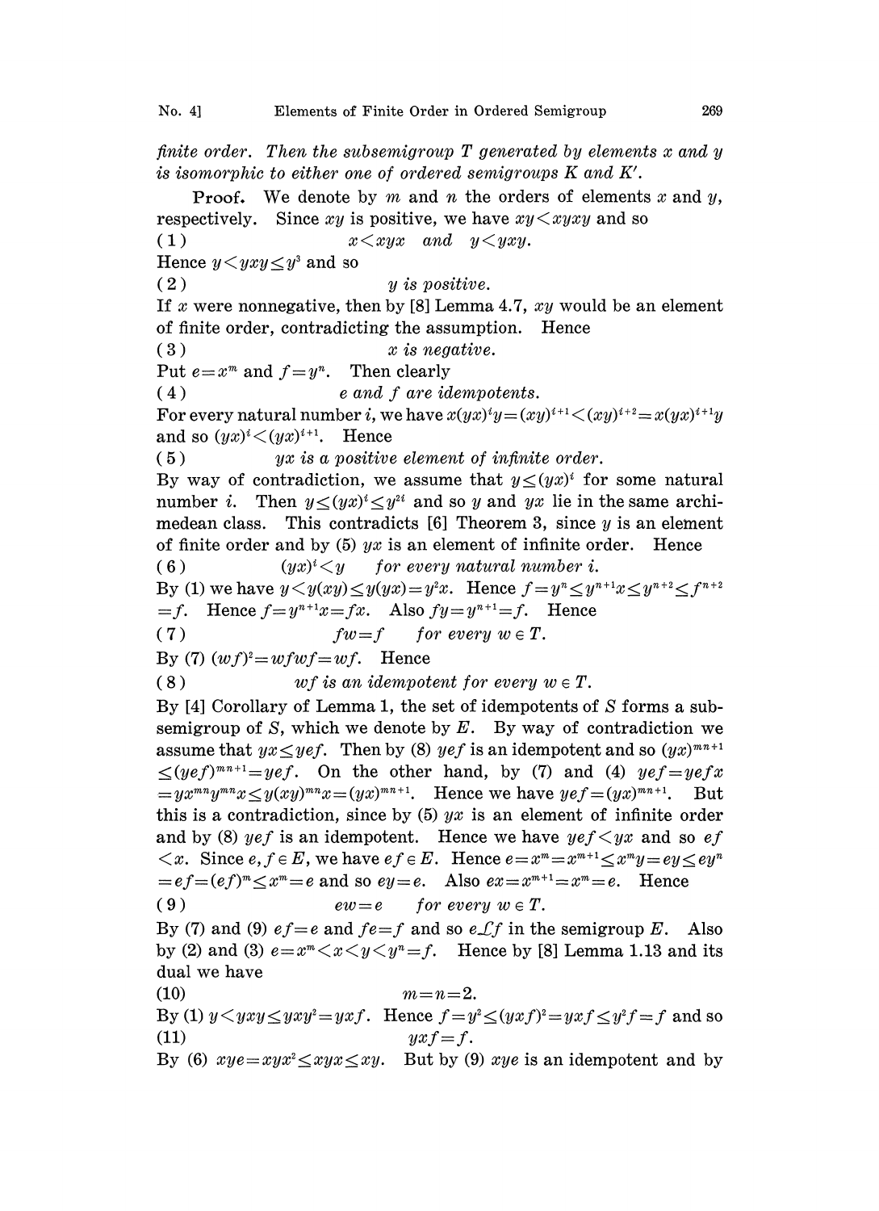finite order. Then the subsemigroup  $T$  generated by elements  $x$  and  $y$ is isomorphic to either one of ordered semigroups K and K'.

**Proof.** We denote by m and n the orders of elements x and y, respectively. Since  $xy$  is positive, we have  $xy \leq xyxy$  and so (1)  $x \leq x y x$  and  $y \leq y x y$ . Hence  $y < yxy \leq y^3$  and so  $(y \text{ is positive.})$ If x were nonnegative, then by [8] Lemma 4.7,  $xy$  would be an element of finite order, contradicting the assumption. Hence  $(x)$   $x$  is negative. Put  $e=x^m$  and  $f=y^n$ . Then clearly  $(e_4)$  e and f are idempotents. For every natural number *i*, we have  $x(yx)^{i}y = (xy)^{i+1} \leq (xy)^{i+2} = x(yx)^{i+1}y$ and so  $(yx)^i \leq (yx)^{i+1}$ . Hence  $(5)$  yx is a positive element of infinite order. By way of contradiction, we assume that  $y \leq (yx)^i$  for some natural number *i*. Then  $y \leq (yx)^i \leq y^{2i}$  and so y and yx lie in the same archimedean class. This contradicts  $[6]$  Theorem 3, since y is an element of finite order and by (5)  $yx$  is an element of infinite order. Hence (6)  $(yx)^{i} \leq y$  for every natural number i. By (1) we have  $y \leq y(xy) \leq y(yx)=y^2x$ . Hence  $f=y^n \leq y^{n+1}x \leq y^{n+2} \leq f^{n+2}$  $=f.$  Hence  $f=y^{n+1}x=fx.$  Also  $fy=y^{n+1}=f.$  Hence (7)  $fw=f$  for every  $w \in T$ . By (7)  $(wf)^2 = wfwf = wf.$  Hence (8) wf is an idempotent for every  $w \in T$ . By [4] Corollary of Lemma 1, the set of idempotents of S forms a subsemigroup of S, which we denote by E. By way of contradiction we assume that  $yx \leq y \epsilon f$ . Then by (8) yef is an idempotent and so  $(yx)^{m n+1}$  $\leq (y e f)^{m n+1} = y e f$ . On the other hand, by (7) and (4)  $y e f = y e f x$  $=yx^{mn}y^{mn}x\leq y(xy)^{mn}x=(yx)^{mn+1}$ . Hence we have  $yef=(yx)^{mn+1}$ . But this is a contradiction, since by  $(5)$  yx is an element of infinite order and by (8) yef is an idempotent. Hence we have  $y \in f \leq yx$  and so  $\epsilon f$  $\langle x, \rangle$  Since  $e, f \in E$ , we have  $ef \in E$ . Hence  $e = x^m = x^{m+1} \leq x^m y = ey \leq ey^n$  $=ef=(ef)^m\lt x^m=e$  and so  $ey=e$ . Also  $ex=x^{m+1}=x^m=e$ . Hence (9)  $\textit{ew}=e$  for every  $w \in T$ . By (7) and (9)  $ef = e$  and  $fe = f$  and so  $e \mathcal{L} f$  in the semigroup E. Also by (2) and (3)  $e=x^m\langle x\langle y\langle y^m=f\rangle$ . Hence by [8] Lemma 1.13 and its dual we have (10)  $m=n=2$ . By (1)  $y \leq yxy \leq yxy^2 = yxf$ . Hence  $f = y^2 \leq (yxf)^2 = yxf \leq y^2f = f$  and so (11)  $yxf = f.$ 

By (6)  $xye = xyx^2 \leq xyx \leq xy$ . But by (9)  $xye$  is an idempotent and by